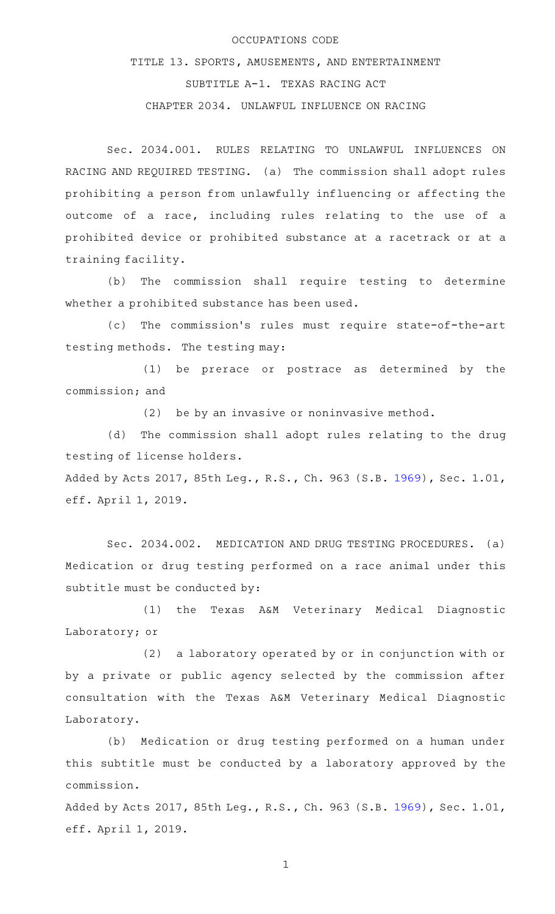## OCCUPATIONS CODE

TITLE 13. SPORTS, AMUSEMENTS, AND ENTERTAINMENT SUBTITLE A-1. TEXAS RACING ACT CHAPTER 2034. UNLAWFUL INFLUENCE ON RACING

Sec. 2034.001. RULES RELATING TO UNLAWFUL INFLUENCES ON RACING AND REQUIRED TESTING. (a) The commission shall adopt rules prohibiting a person from unlawfully influencing or affecting the outcome of a race, including rules relating to the use of a prohibited device or prohibited substance at a racetrack or at a training facility.

(b) The commission shall require testing to determine whether a prohibited substance has been used.

(c) The commission's rules must require state-of-the-art testing methods. The testing may:

(1) be prerace or postrace as determined by the commission; and

 $(2)$  be by an invasive or noninvasive method.

(d) The commission shall adopt rules relating to the drug testing of license holders.

Added by Acts 2017, 85th Leg., R.S., Ch. 963 (S.B. [1969](http://www.legis.state.tx.us/tlodocs/85R/billtext/html/SB01969F.HTM)), Sec. 1.01, eff. April 1, 2019.

Sec. 2034.002. MEDICATION AND DRUG TESTING PROCEDURES. (a) Medication or drug testing performed on a race animal under this subtitle must be conducted by:

(1) the Texas A&M Veterinary Medical Diagnostic Laboratory; or

(2) a laboratory operated by or in conjunction with or by a private or public agency selected by the commission after consultation with the Texas A&M Veterinary Medical Diagnostic Laboratory.

(b) Medication or drug testing performed on a human under this subtitle must be conducted by a laboratory approved by the commission.

Added by Acts 2017, 85th Leg., R.S., Ch. 963 (S.B. [1969](http://www.legis.state.tx.us/tlodocs/85R/billtext/html/SB01969F.HTM)), Sec. 1.01, eff. April 1, 2019.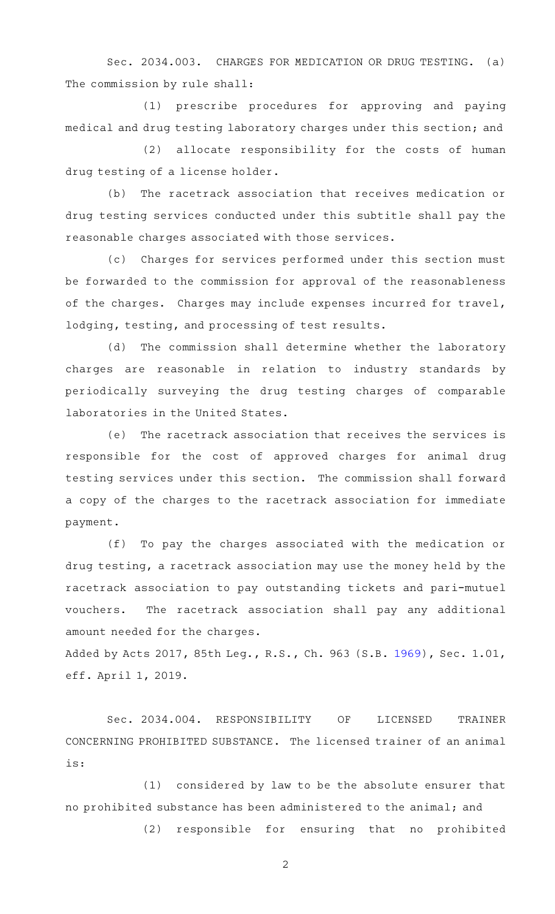Sec. 2034.003. CHARGES FOR MEDICATION OR DRUG TESTING. (a) The commission by rule shall:

(1) prescribe procedures for approving and paying medical and drug testing laboratory charges under this section; and

(2) allocate responsibility for the costs of human drug testing of a license holder.

(b) The racetrack association that receives medication or drug testing services conducted under this subtitle shall pay the reasonable charges associated with those services.

(c) Charges for services performed under this section must be forwarded to the commission for approval of the reasonableness of the charges. Charges may include expenses incurred for travel, lodging, testing, and processing of test results.

(d) The commission shall determine whether the laboratory charges are reasonable in relation to industry standards by periodically surveying the drug testing charges of comparable laboratories in the United States.

(e) The racetrack association that receives the services is responsible for the cost of approved charges for animal drug testing services under this section. The commission shall forward a copy of the charges to the racetrack association for immediate payment.

(f) To pay the charges associated with the medication or drug testing, a racetrack association may use the money held by the racetrack association to pay outstanding tickets and pari-mutuel vouchers. The racetrack association shall pay any additional amount needed for the charges.

Added by Acts 2017, 85th Leg., R.S., Ch. 963 (S.B. [1969](http://www.legis.state.tx.us/tlodocs/85R/billtext/html/SB01969F.HTM)), Sec. 1.01, eff. April 1, 2019.

Sec. 2034.004. RESPONSIBILITY OF LICENSED TRAINER CONCERNING PROHIBITED SUBSTANCE. The licensed trainer of an animal is:

 $(1)$  considered by law to be the absolute ensurer that no prohibited substance has been administered to the animal; and

(2) responsible for ensuring that no prohibited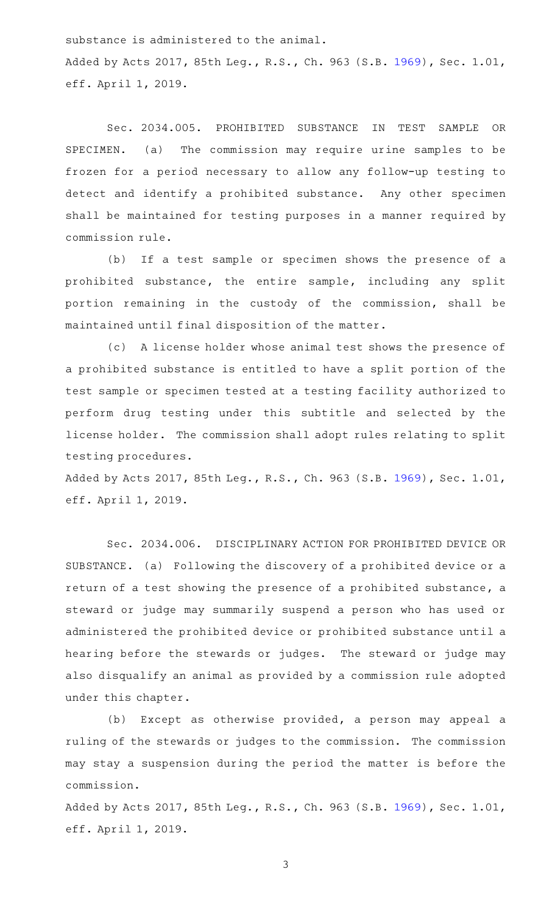substance is administered to the animal. Added by Acts 2017, 85th Leg., R.S., Ch. 963 (S.B. [1969](http://www.legis.state.tx.us/tlodocs/85R/billtext/html/SB01969F.HTM)), Sec. 1.01, eff. April 1, 2019.

Sec. 2034.005. PROHIBITED SUBSTANCE IN TEST SAMPLE OR SPECIMEN. (a) The commission may require urine samples to be frozen for a period necessary to allow any follow-up testing to detect and identify a prohibited substance. Any other specimen shall be maintained for testing purposes in a manner required by commission rule.

(b) If a test sample or specimen shows the presence of a prohibited substance, the entire sample, including any split portion remaining in the custody of the commission, shall be maintained until final disposition of the matter.

(c) A license holder whose animal test shows the presence of a prohibited substance is entitled to have a split portion of the test sample or specimen tested at a testing facility authorized to perform drug testing under this subtitle and selected by the license holder. The commission shall adopt rules relating to split testing procedures.

Added by Acts 2017, 85th Leg., R.S., Ch. 963 (S.B. [1969](http://www.legis.state.tx.us/tlodocs/85R/billtext/html/SB01969F.HTM)), Sec. 1.01, eff. April 1, 2019.

Sec. 2034.006. DISCIPLINARY ACTION FOR PROHIBITED DEVICE OR SUBSTANCE. (a) Following the discovery of a prohibited device or a return of a test showing the presence of a prohibited substance, a steward or judge may summarily suspend a person who has used or administered the prohibited device or prohibited substance until a hearing before the stewards or judges. The steward or judge may also disqualify an animal as provided by a commission rule adopted under this chapter.

(b) Except as otherwise provided, a person may appeal a ruling of the stewards or judges to the commission. The commission may stay a suspension during the period the matter is before the commission.

Added by Acts 2017, 85th Leg., R.S., Ch. 963 (S.B. [1969](http://www.legis.state.tx.us/tlodocs/85R/billtext/html/SB01969F.HTM)), Sec. 1.01, eff. April 1, 2019.